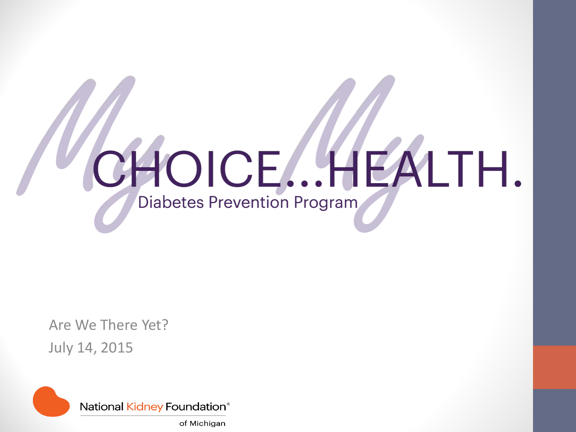

Are We There Yet? July 14, 2015

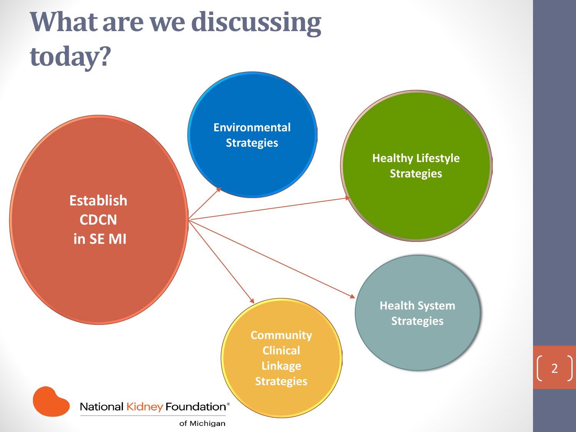### **What are we discussing today?**



2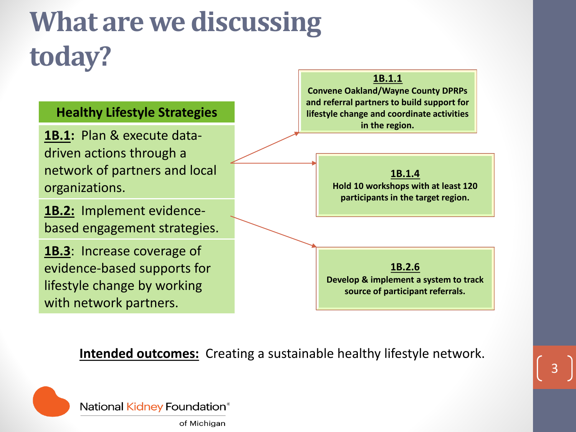### **What are we discussing today?**

#### **Healthy Lifestyle Strategies**

**1B.1:** Plan & execute datadriven actions through a network of partners and local organizations.

**1B.2:** Implement evidencebased engagement strategies.

**1B.3**: Increase coverage of evidence-based supports for lifestyle change by working with network partners.

#### **1B.1.1**

**Convene Oakland/Wayne County DPRPs and referral partners to build support for lifestyle change and coordinate activities in the region.**

**1B.1.4**

**Hold 10 workshops with at least 120 participants in the target region.**

**1B.2.6 Develop & implement a system to track source of participant referrals.**

**Intended outcomes:** Creating a sustainable healthy lifestyle network.



National Kidney Foundation®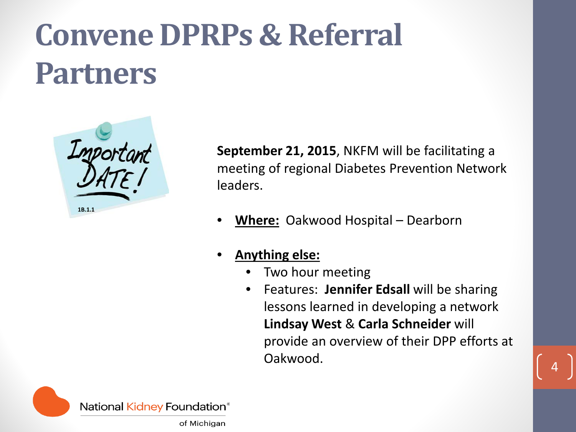# **Convene DPRPs & Referral Partners**



**September 21, 2015**, NKFM will be facilitating a meeting of regional Diabetes Prevention Network leaders.

- **Where:** Oakwood Hospital Dearborn
- **Anything else:**
	- Two hour meeting
	- Features: **Jennifer Edsall** will be sharing lessons learned in developing a network **Lindsay West** & **Carla Schneider** will provide an overview of their DPP efforts at Oakwood.

4

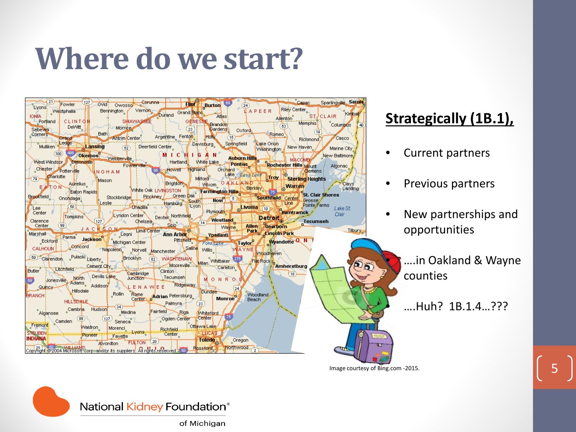### **Where do we start?**



### **Strategically (1B.1),**

- Current partners
- Previous partners
- New partnerships and opportunities

• ….in Oakland & Wayne counties

• ….Huh? 1B.1.4…???

Image courtesy of Bing.com -2015.

5

National Kidney Foundation®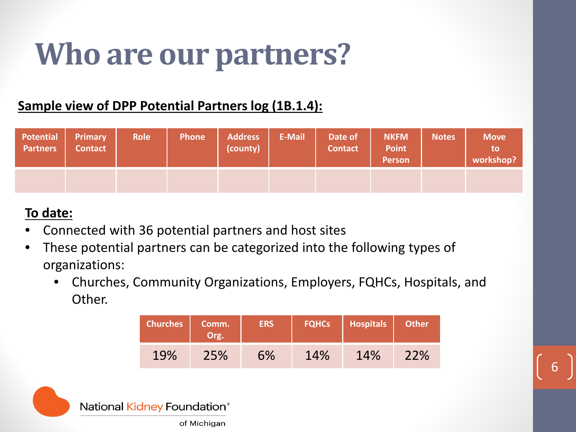### **Who are our partners?**

### **Sample view of DPP Potential Partners log (1B.1.4):**

| <b>Potential</b><br><b>Partners</b> | <b>Primary</b><br><b>Contact</b> | <b>Role</b> | <b>Phone</b> | <b>Address</b><br>(county) | <b>E-Mail</b> | Date of<br><b>Contact</b> | <b>NKFM</b><br><b>Point</b><br>Person | <b>Notes</b> | <b>Move</b><br>to<br>workshop? |
|-------------------------------------|----------------------------------|-------------|--------------|----------------------------|---------------|---------------------------|---------------------------------------|--------------|--------------------------------|
|                                     |                                  |             |              |                            |               |                           |                                       |              |                                |

#### **To date:**

- Connected with 36 potential partners and host sites
- These potential partners can be categorized into the following types of organizations:
	- Churches, Community Organizations, Employers, FQHCs, Hospitals, and Other.

| <b>Churches</b> | Comm.<br>Org. | <b>ERS</b> | <b>FQHCs</b> | <b>Hospitals</b> | <b>Other</b> |
|-----------------|---------------|------------|--------------|------------------|--------------|
| 19%             | 25%           | 6%         | 14%          | 14%              | 22%          |

6

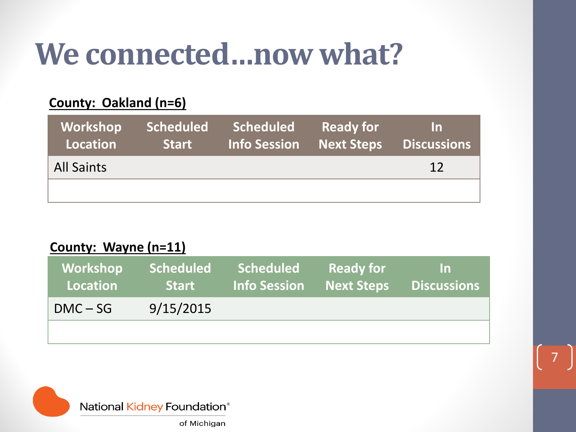### **We connected…now what?**

### **County: Oakland (n=6)**

| Workshop<br>Location | <b>Scheduled</b><br>Start / | Scheduled<br><b>Info Session Next Steps</b> | Ready for | $\mathsf{In}$<br><b>Discussions</b> |
|----------------------|-----------------------------|---------------------------------------------|-----------|-------------------------------------|
| <b>All Saints</b>    |                             |                                             |           | 12                                  |
|                      |                             |                                             |           |                                     |

#### **County: Wayne (n=11)**

| Workshop<br>Location | <b>Scheduled</b><br><b>Start</b> | <b>Scheduled</b><br><b>Info Session</b> | <b>Ready for</b><br>Next Steps | In.<br>Discussions |
|----------------------|----------------------------------|-----------------------------------------|--------------------------------|--------------------|
| $DMC - SG$           | 9/15/2015                        |                                         |                                |                    |
|                      |                                  |                                         |                                |                    |



7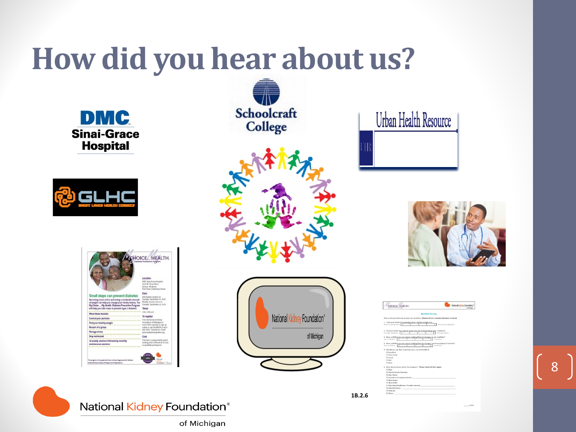### **How did you hear about us?**

**DMC Sinai-Grace Hospital** 



|                                                                                                                                                                            | <b>IOICE. HEALTH.</b><br><b>Diabetes Prevention Publisher</b>                                                                                                                           |
|----------------------------------------------------------------------------------------------------------------------------------------------------------------------------|-----------------------------------------------------------------------------------------------------------------------------------------------------------------------------------------|
|                                                                                                                                                                            | Location<br>DMC Sinal Grace Mossital<br>6001W. Duniel Drive<br>Dezon Milatins<br>Ford Floor Conference Boom                                                                             |
| Small steps can prevent diabetes<br>Seconting more active and losing a moderate amount<br>of weight can help you change your family history. The                           | Date<br>information segion on<br>Tuesda: September 13, 2015<br>Weekly sessions start on<br>Tuesday, September 22, 2011                                                                  |
| My Choke My Health: Diabetes Prevention Program<br>will help you take steps to prevent type 2 diabetes.                                                                    | <b>Great</b>                                                                                                                                                                            |
| ,,,,,,,,,,,,,,,,,,,,,,,,,,,,,,,,,,,,,,                                                                                                                                     | 1.00-2.00 p.m.                                                                                                                                                                          |
| Mays three muscles.<br>                                                                                                                                                    | To register                                                                                                                                                                             |
| Control your portions<br>Find your healthy weight.<br>*************************************<br>Be part of a group<br>57771370121637101111111111111<br><b>Manage stress</b> | Vair: the National Kidney<br>Finandation of Michigan at<br>www.nkfm.org/dgg-to.sign.up<br>online or call the NKFM at 800-<br><b>ART-MET CHAIRMANT EMAIL</b><br>prevent@abrios@rddre.org |
| <br>******************<br>Stay mottvated                                                                                                                                   | Cost                                                                                                                                                                                    |
| ************************************<br>16 weekly sessions followed by monthly<br>maintenance sessions                                                                     | This days is supported by grant.<br>funding and is offered at no cost.                                                                                                                  |
| *************************                                                                                                                                                  | to qualified participants.                                                                                                                                                              |
| This program is the pasple who have not heart diagnosed with diabetes.<br>factoral fish as Thompson of Pulsane, link all other records                                     | Inautomor                                                                                                                                                                               |











8

| <b>CHOICE HEALTH.</b>                                                                                                   | National Kichay Foundation<br>of Mahiner |
|-------------------------------------------------------------------------------------------------------------------------|------------------------------------------|
|                                                                                                                         |                                          |
|                                                                                                                         | <b>Baseline Survey</b>                   |
| Please only provide one answer per question. (Please circle a number between 1 and 5)                                   |                                          |
| 1. Rate your level of knowledge about healthy weight loss<br>Not knowledgeable<br>x                                     | Very knowledgeable<br>ब                  |
| 2. I know at least two ways to lower my risk of developing Type-2 diabetes.<br>Stronaly disagres<br>Tτ<br>×             | Stronaly agree<br>ĸ                      |
| 3. How confident are you about making lifestyle changes to eat healthier?<br>Not confident<br>т<br>т<br>76              | Confident                                |
| 4. How confident are you about making lifectyle changes to increase physical activity?<br>Not confident.<br>٦<br>⋥<br>т | Confident                                |
| 5. Would you say that in general your current health is:                                                                |                                          |
| O Excellent                                                                                                             |                                          |
| O Very Good                                                                                                             |                                          |
| O Good                                                                                                                  |                                          |
| O Fair                                                                                                                  |                                          |
| Ct Brune                                                                                                                |                                          |
| 6. How did you hear about the program? Please check all that apply.                                                     |                                          |
| O Flore                                                                                                                 |                                          |
| O Friend/Family Member                                                                                                  |                                          |
| O Hair Stylist                                                                                                          |                                          |
| O insurance Company (name):                                                                                             |                                          |
| O Newspaper                                                                                                             |                                          |
| O Measletter                                                                                                            |                                          |
| O Physician/Healthcare Provider (name):                                                                                 |                                          |
| O School (name):                                                                                                        |                                          |
| O Website                                                                                                               |                                          |
| O Others                                                                                                                |                                          |



**1B.2.6**